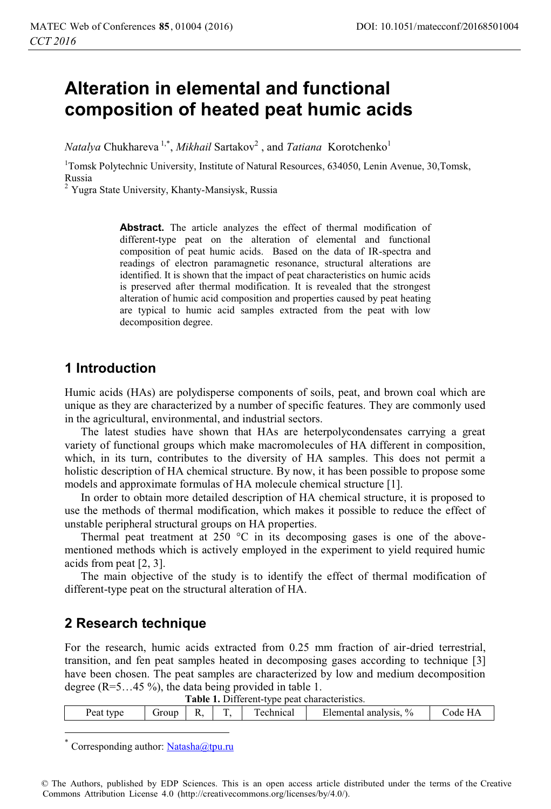# **Alteration in elemental and functional composition of heated peat humic acids**

*Natalya* Chukhareva<sup>1,\*</sup>, *Mikhail* Sartakov<sup>2</sup>, and *Tatiana* Korotchenko<sup>1</sup>

<sup>1</sup>Tomsk Polytechnic University, Institute of Natural Resources, 634050, Lenin Avenue, 30, Tomsk, Russia

<sup>2</sup> Yugra State University, Khanty-Mansiysk, Russia

**Abstract.** The article analyzes the effect of thermal modification of different-type peat on the alteration of elemental and functional composition of peat humic acids. Based on the data of IR-spectra and readings of electron paramagnetic resonance, structural alterations are identified. It is shown that the impact of peat characteristics on humic acids is preserved after thermal modification. It is revealed that the strongest alteration of humic acid composition and properties caused by peat heating are typical to humic acid samples extracted from the peat with low decomposition degree.

## **1 Introduction**

Humic acids (HAs) are polydisperse components of soils, peat, and brown coal which are unique as they are characterized by a number of specific features. They are commonly used in the agricultural, environmental, and industrial sectors.

The latest studies have shown that HAs are heterpolycondensates carrying a great variety of functional groups which make macromolecules of HA different in composition, which, in its turn, contributes to the diversity of HA samples. This does not permit a holistic description of HA chemical structure. By now, it has been possible to propose some models and approximate formulas of HA molecule chemical structure [1].

In order to obtain more detailed description of HA chemical structure, it is proposed to use the methods of thermal modification, which makes it possible to reduce the effect of unstable peripheral structural groups on HA properties.

Thermal peat treatment at 250  $\degree$ C in its decomposing gases is one of the abovementioned methods which is actively employed in the experiment to yield required humic acids from peat [2, 3].

The main objective of the study is to identify the effect of thermal modification of different-type peat on the structural alteration of HA.

### **2 Research technique**

For the research, humic acids extracted from 0.25 mm fraction of air-dried terrestrial, transition, and fen peat samples heated in decomposing gases according to technique [3] have been chosen. The peat samples are characterized by low and medium decomposition degree (R=5…45 %), the data being provided in table 1.

| Table 1. Different-type peat characteristics. |  |
|-----------------------------------------------|--|
|-----------------------------------------------|--|

| Peat<br>type | Jroup | IJ<br>17. | m<br>. . | echnical | $\frac{0}{0}$<br>≾lemental<br>' analysis. | $ -$<br>.ode |
|--------------|-------|-----------|----------|----------|-------------------------------------------|--------------|
|              |       |           |          |          |                                           |              |

Corresponding author: Natasha@tpu.ru

 $\overline{a}$ 

© The Authors, published by EDP Sciences. This is an open access article distributed under the terms of the Creative Commons Attribution License 4.0 (http://creativecommons.org/licenses/by/4.0/).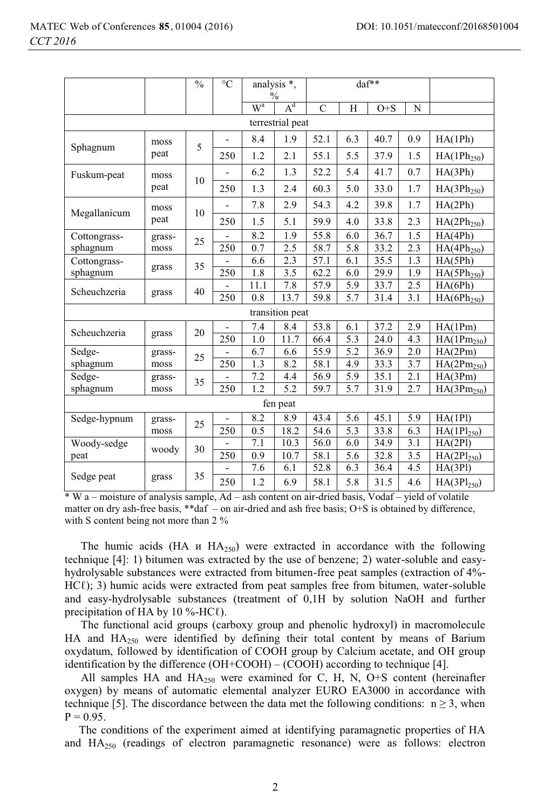|                  |        | $\frac{0}{0}$ | $\rm ^{\circ}C$          | analysis *,                     |                 | daf**         |                  |         |           |                         |
|------------------|--------|---------------|--------------------------|---------------------------------|-----------------|---------------|------------------|---------|-----------|-------------------------|
|                  |        |               |                          | $\frac{0}{0}$<br>$W^a$<br>$A^d$ |                 |               |                  |         |           |                         |
|                  |        |               |                          |                                 |                 | $\mathcal{C}$ | H                | $O + S$ | ${\bf N}$ |                         |
| terrestrial peat |        |               |                          |                                 |                 |               |                  |         |           |                         |
| Sphagnum         | moss   | 5             | $\overline{\phantom{0}}$ | 8.4                             | 1.9             | 52.1          | 6.3              | 40.7    | 0.9       | HA(1Ph)                 |
|                  | peat   |               | 250                      | 1.2                             | 2.1             | 55.1          | 5.5              | 37.9    | 1.5       | HA(1Ph <sub>250</sub> ) |
| Fuskum-peat      | moss   | 10            |                          | 6.2                             | 1.3             | 52.2          | 5.4              | 41.7    | 0.7       | HA(3Ph)                 |
|                  | peat   |               | 250                      | 1.3                             | 2.4             | 60.3          | 5.0              | 33.0    | 1.7       | HA(3Ph <sub>250</sub> ) |
| Megallanicum     | moss   | 10            |                          | 7.8                             | 2.9             | 54.3          | 4.2              | 39.8    | 1.7       | HA(2Ph)                 |
|                  | peat   |               | 250                      | 1.5                             | 5.1             | 59.9          | 4.0              | 33.8    | 2.3       | HA(2Ph <sub>250</sub> ) |
| Cottongrass-     | grass- | 25            | $\overline{a}$           | 8.2                             | 1.9             | 55.8          | 6.0              | 36.7    | 1.5       | HA(4Ph)                 |
| sphagnum         | moss   |               | 250                      | 0.7                             | 2.5             | 58.7          | 5.8              | 33.2    | 2.3       | HA(4Ph <sub>250</sub> ) |
| Cottongrass-     |        | 35            |                          | 6.6                             | 2.3             | 57.1          | 6.1              | 35.5    | 1.3       | HA(5Ph)                 |
| sphagnum         | grass  |               | 250                      | 1.8                             | 3.5             | 62.2          | 6.0              | 29.9    | 1.9       | $HA(5Ph_{250})$         |
| Scheuchzeria     | grass  | 40            | $\overline{\phantom{a}}$ | 11.1                            | 7.8             | 57.9          | 5.9              | 33.7    | 2.5       | HA(6Ph)                 |
|                  |        |               | 250                      | 0.8                             | 13.7            | 59.8          | 5.7              | 31.4    | 3.1       | $HA(6Ph_{250})$         |
|                  |        |               |                          |                                 | transition peat |               |                  |         |           |                         |
| Scheuchzeria     |        | 20            | $\overline{\phantom{0}}$ | 7.4                             | 8.4             | 53.8          | 6.1              | 37.2    | 2.9       | HA(1Pm)                 |
|                  | grass  |               | 250                      | 1.0                             | 11.7            | 66.4          | 5.3              | 24.0    | 4.3       | HA(1Pm <sub>250</sub> ) |
| Sedge-           | grass- | 25            |                          | 6.7                             | 6.6             | 55.9          | 5.2              | 36.9    | 2.0       | HA(2Pm)                 |
| sphagnum         | moss   |               | 250                      | 1.3                             | 8.2             | 58.1          | 4.9              | 33.3    | 3.7       | $HA(2Pm_{250})$         |
| Sedge-           | grass- | 35            |                          | 7.2                             | 4.4             | 56.9          | 5.9              | 35.1    | 2.1       | HA(3Pm)                 |
| sphagnum         | moss   |               | 250                      | 1.2                             | 5.2             | 59.7          | 5.7              | 31.9    | 2.7       | HA(3Pm <sub>250</sub> ) |
| fen peat         |        |               |                          |                                 |                 |               |                  |         |           |                         |
| Sedge-hypnum     | grass- | 25            |                          | 8.2                             | 8.9             | 43.4          | 5.6              | 45.1    | 5.9       | HA(1P1)                 |
|                  | moss   |               | 250                      | 0.5                             | 18.2            | 54.6          | $\overline{5.3}$ | 33.8    | 6.3       | $HA(1Pl_{250})$         |
| Woody-sedge      |        | 30            |                          | 7.1                             | 10.3            | 56.0          | 6.0              | 34.9    | 3.1       | HA(2P1)                 |
| peat             | woody  |               | 250                      | 0.9                             | 10.7            | 58.1          | 5.6              | 32.8    | 3.5       | $HA(2P1_{250})$         |
|                  |        |               |                          | 7.6                             | 6.1             | 52.8          | 6.3              | 36.4    | 4.5       | HA(3P1)                 |
| Sedge peat       | grass  | 35            | 250                      | 1.2                             | 6.9             | 58.1          | 5.8              | 31.5    | 4.6       | HA(3Pl <sub>250</sub> ) |

\* W a – moisture of analysis sample, Ad – ash content on air-dried basis, Vоdaf – yield of volatile matter on dry ash-free basis, \*\*daf – on air-dried and ash free basis; O+S is obtained by difference, with S content being not more than 2 %

The humic acids (НА и  $HA_{250}$ ) were extracted in accordance with the following technique [4]: 1) bitumen was extracted by the use of benzene; 2) water-soluble and easyhydrolysable substances were extracted from bitumen-free peat samples (extraction of 4%- HCℓ); 3) humic acids were extracted from peat samples free from bitumen, water-soluble and easy-hydrolysable substances (treatment of 0,1Н by solution NaOH and further precipitation of HA by 10 %-HC $\ell$ ).

The functional acid groups (carboxy group and phenolic hydroxyl) in macromolecule HA and  $HA<sub>250</sub>$  were identified by defining their total content by means of Barium oxydatum, followed by identification of СООН group by Сalcium acetate, and ОН group identification by the difference (ОН+СООН) – (СООН) according to technique [4].

All samples HA and  $HA_{250}$  were examined for C, H, N, O+S content (hereinafter oxygen) by means of automatic elemental analyzer EURO ЕА3000 in accordance with technique [5]. The discordance between the data met the following conditions:  $n \ge 3$ , when  $P = 0.95$ .

 The conditions of the experiment aimed at identifying paramagnetic properties of НА and  $HA<sub>250</sub>$  (readings of electron paramagnetic resonance) were as follows: electron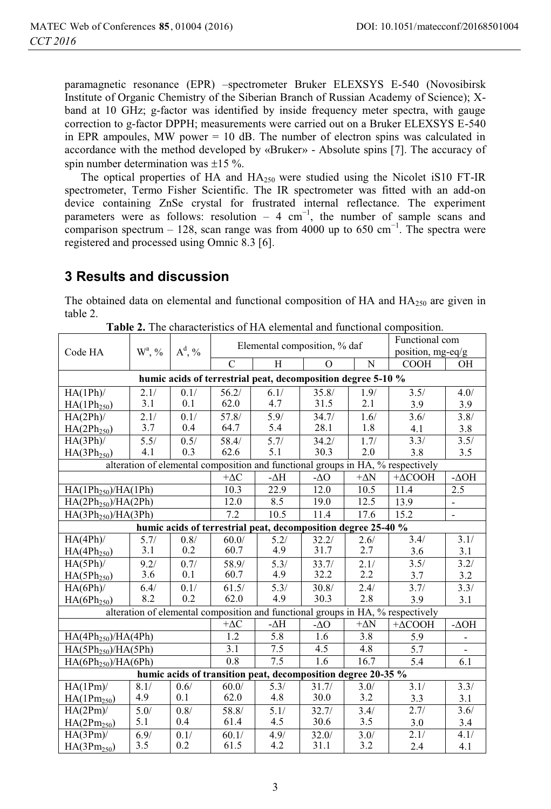paramagnetic resonance (EPR) –spectrometer Bruker ELEXSYS E-540 (Novosibirsk Institute of Organic Chemistry of the Siberian Branch of Russian Academy of Science); Xband at 10 GHz; g-factor was identified by inside frequency meter spectra, with gauge correction to g-factor DPPH; measurements were carried out on a Bruker ELEXSYS E-540 in EPR ampoules, MW power  $= 10$  dB. The number of electron spins was calculated in accordance with the method developed by «Bruker» - Absolute spins [7]. The accuracy of spin number determination was  $\pm 15$  %.

The optical properties of HA and  $HA_{250}$  were studied using the Nicolet iS10 FT-IR spectrometer, Termo Fisher Scientific. The IR spectrometer was fitted with an add-on device containing ZnSe crystal for frustrated internal reflectance. The experiment parameters were as follows: resolution – 4 cm<sup>-1</sup>, the number of sample scans and comparison spectrum – 128, scan range was from 4000 up to 650 cm<sup>-1</sup>. The spectra were registered and processed using Omnic 8.3 [6].

# **3 Results and discussion**

The obtained data on elemental and functional composition of  $HA$  and  $HA_{250}$  are given in table 2.

|                                                               | $W^a, \frac{9}{6}$                                           | $A^d$ , % |               | Elemental composition, % daf | Functional com    |             |                                                                                 |                          |  |  |  |
|---------------------------------------------------------------|--------------------------------------------------------------|-----------|---------------|------------------------------|-------------------|-------------|---------------------------------------------------------------------------------|--------------------------|--|--|--|
| Code HA                                                       |                                                              |           |               |                              | position, mg-eq/g |             |                                                                                 |                          |  |  |  |
|                                                               |                                                              |           | $\mathcal{C}$ | H                            | $\Omega$          | N           | <b>COOH</b>                                                                     | OH                       |  |  |  |
|                                                               | humic acids of terrestrial peat, decomposition degree 5-10 % |           |               |                              |                   |             |                                                                                 |                          |  |  |  |
| $HA(1Ph)$ /                                                   | 2.1/                                                         | 0.1/      | 56.2/         | 6.1/                         | 35.8/             | 1.9/        | 3.5/                                                                            | 4.0/                     |  |  |  |
| HA(1Ph <sub>250</sub> )                                       | 3.1                                                          | 0.1       | 62.0          | 4.7                          | 31.5              | 2.1         | 3.9                                                                             | 3.9                      |  |  |  |
| $HA(2Ph)$ /                                                   | 2.1/                                                         | 0.1/      | 57.8/         | 5.9/                         | 34.7/             | 1.6/        | 3.6/                                                                            | 3.8/                     |  |  |  |
| HA(2Ph <sub>250</sub> )                                       | 3.7                                                          | 0.4       | 64.7          | 5.4                          | 28.1              | 1.8         | 4.1                                                                             | 3.8                      |  |  |  |
| HA(3Ph)/                                                      | 5.5/                                                         | 0.5/      | 58.4/         | 5.7/                         | 34.2/             | 1.7/        | 3.3/                                                                            | 3.5/                     |  |  |  |
| $HA(3Ph_{250})$                                               | 4.1                                                          | 0.3       | 62.6          | 5.1                          | 30.3              | 2.0         | 3.8                                                                             | 3.5                      |  |  |  |
|                                                               |                                                              |           |               |                              |                   |             | alteration of elemental composition and functional groups in HA, % respectively |                          |  |  |  |
|                                                               |                                                              |           | $+\Delta C$   | -∆H                          | - $\Delta$ O      | $+\Delta N$ | $+\Delta COOH$                                                                  | $-\Delta$ OH             |  |  |  |
| HA(1Ph <sub>250</sub> )/HA(1Ph)                               |                                                              |           | 10.3          | 22.9                         | 12.0              | 10.5        | 11.4                                                                            | 2.5                      |  |  |  |
| HA(2Ph <sub>250</sub> )/HA(2Ph)                               |                                                              |           | 12.0          | 8.5                          | 19.0              | 12.5        | 13.9                                                                            | $\overline{\phantom{0}}$ |  |  |  |
| 7.2<br>10.5<br>HA(3Ph <sub>250</sub> )/HA(3Ph)                |                                                              |           |               |                              | 11.4              | 17.6        | 15.2                                                                            | $\overline{\phantom{0}}$ |  |  |  |
| humic acids of terrestrial peat, decomposition degree 25-40 % |                                                              |           |               |                              |                   |             |                                                                                 |                          |  |  |  |
| $HA(4Ph)$ /                                                   | 5.7/                                                         | 0.8/      | 60.0/         | 5.2/                         | 32.2/             | 2.6/        | 3.4/                                                                            | 3.1/                     |  |  |  |
| HA(4Ph <sub>250</sub> )                                       | 3.1                                                          | 0.2       | 60.7          | 4.9                          | 31.7              | 2.7         | 3.6                                                                             | 3.1                      |  |  |  |
| $HA(5Ph)$ /                                                   | 9.2/                                                         | 0.7/      | 58.9/         | 5.3/                         | 33.7/             | 2.1/        | 3.5/                                                                            | 3.2/                     |  |  |  |
| $HA(5Ph_{250})$                                               | 3.6                                                          | 0.1       | 60.7          | 4.9                          | 32.2              | 2.2         | 3.7                                                                             | 3.2                      |  |  |  |
| $HA(6Ph)$ /                                                   | 6.4/                                                         | 0.1/      | 61.5/         | 5.3/                         | 30.8/             | 2.4/        | 3.7/                                                                            | 3.3/                     |  |  |  |
| HA(6Ph <sub>250</sub> )                                       | 8.2                                                          | 0.2       | 62.0          | 4.9                          | 30.3              | 2.8         | 3.9                                                                             | 3.1                      |  |  |  |
|                                                               |                                                              |           |               |                              |                   |             | alteration of elemental composition and functional groups in HA, % respectively |                          |  |  |  |
|                                                               |                                                              |           | $+\Delta C$   | -AH                          | - $\Delta$ O      | $+\Delta N$ | $+\Delta COOH$                                                                  | $-\Delta$ OH             |  |  |  |
| HA(4Ph <sub>250</sub> )/HA(4Ph)                               |                                                              |           | 1.2           | 5.8                          | 1.6               | 3.8         | 5.9                                                                             |                          |  |  |  |
| $HA(5Ph_{250})/HA(5Ph)$                                       |                                                              |           | 3.1           | 7.5                          | 4.5               | 4.8         | 5.7                                                                             |                          |  |  |  |
| $HA(6Ph_{250})/HA(6Ph)$                                       |                                                              |           | 0.8           | 7.5                          | $\overline{1.6}$  | 16.7        | 5.4                                                                             | 6.1                      |  |  |  |
| humic acids of transition peat, decomposition degree 20-35 %  |                                                              |           |               |                              |                   |             |                                                                                 |                          |  |  |  |
| $HA(1Pm)$ /                                                   | 8.1/                                                         | 0.6/      | 60.0/         | 5.3/                         | 31.7/             | 3.0/        | 3.1/                                                                            | 3.3/                     |  |  |  |
| $HA(1Pm_{250})$                                               | 4.9                                                          | 0.1       | 62.0          | 4.8                          | 30.0              | 3.2         | 3.3                                                                             | 3.1                      |  |  |  |
| $HA(2Pm)$ /                                                   | 5.0/                                                         | 0.8/      | 58.8/         | 5.1/                         | 32.7/             | 3.4/        | 2.7/                                                                            | 3.6/                     |  |  |  |
| $HA(2Pm_{250})$                                               | 5.1                                                          | 0.4       | 61.4          | 4.5                          | 30.6              | 3.5         | 3.0                                                                             | 3.4                      |  |  |  |
| $HA(3Pm)$ /                                                   | $6.9/$                                                       | 0.1/      | 60.1/         | 4.9/                         | 32.0/             | 3.0/        | 2.1/                                                                            | 4.1/                     |  |  |  |
| HA(3Pm <sub>250</sub> )                                       | 3.5                                                          | 0.2       | 61.5          | 4.2                          | 31.1              | 3.2         | 2.4                                                                             | 4.1                      |  |  |  |

**Table 2.** The characteristics of HA elemental and functional composition.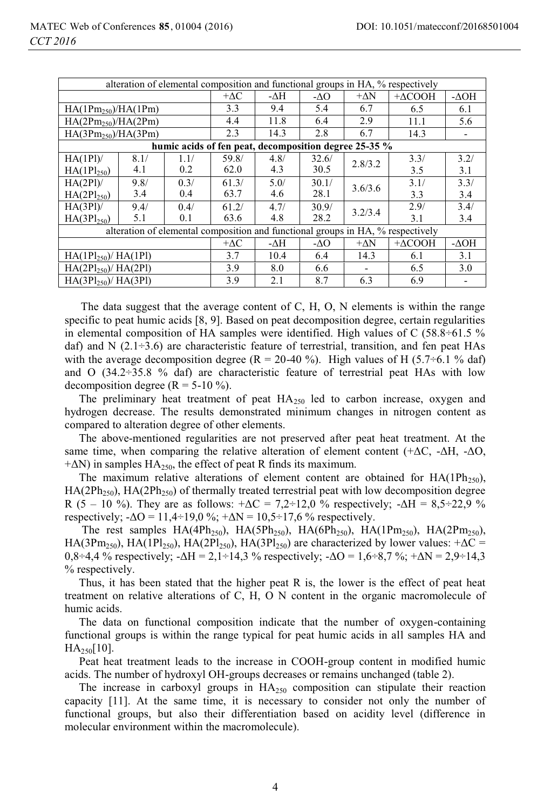| alteration of elemental composition and functional groups in HA, % respectively |                                                       |      |             |      |             |             |                                                                                 |              |  |  |
|---------------------------------------------------------------------------------|-------------------------------------------------------|------|-------------|------|-------------|-------------|---------------------------------------------------------------------------------|--------------|--|--|
|                                                                                 |                                                       |      |             |      |             |             |                                                                                 |              |  |  |
|                                                                                 |                                                       |      | $+\Delta C$ | -AH  | -40         | $+\Delta N$ | $+\Delta COOH$                                                                  | $-\Delta$ OH |  |  |
| $HA(1Pm_{250})/HA(1Pm)$                                                         |                                                       | 3.3  | 9.4         | 5.4  | 6.7         | 6.5         | 6.1                                                                             |              |  |  |
| $HA(2Pm_{250})/HA(2Pm)$                                                         |                                                       | 4.4  | 11.8        | 6.4  | 2.9         | 11.1        | 5.6                                                                             |              |  |  |
| $HA(3Pm_{250})/HA(3Pm)$                                                         |                                                       |      | 2.3         | 14.3 | 2.8         | 6.7         | 14.3                                                                            |              |  |  |
|                                                                                 | humic acids of fen peat, decomposition degree 25-35 % |      |             |      |             |             |                                                                                 |              |  |  |
| HA(1PI)                                                                         | 8.1/                                                  | 1.1/ | 59.8/       | 4.8/ | 32.6/       | 2.8/3.2     | 3.3/                                                                            | 3.2/         |  |  |
| $HA(1Pl_{250})$                                                                 | 4.1                                                   | 0.2  | 62.0        | 4.3  | 30.5        |             | 3.5                                                                             | 3.1          |  |  |
| HA(2P1)                                                                         | 9.8/                                                  | 0.3/ | 61.3/       | 5.0/ | 30.1/       | 3.6/3.6     | 3.1/                                                                            | 3.3/         |  |  |
| $HA(2P1_{250})$                                                                 | 3.4                                                   | 0.4  | 63.7        | 4.6  | 28.1        |             | 3.3                                                                             | 3.4          |  |  |
| HA(3P1)                                                                         | 9.4/                                                  | 0.4/ | 61.2/       | 4.7/ | 30.9/       | 3.2/3.4     | 2.9/                                                                            | 3.4/         |  |  |
| $HA(3P1_{250})$                                                                 | 5.1                                                   | 0.1  | 63.6        | 4.8  | 28.2        |             | 3.1                                                                             | 3.4          |  |  |
|                                                                                 |                                                       |      |             |      |             |             | alteration of elemental composition and functional groups in HA, % respectively |              |  |  |
|                                                                                 |                                                       |      | $+\Delta C$ | -AH  | $-\Delta O$ | $+\Delta N$ | $+\Delta COOH$                                                                  | -ДОН         |  |  |
| $HA(1P1_{250})/HA(1P1)$                                                         |                                                       |      | 3.7         | 10.4 | 6.4         | 14.3        | 6.1                                                                             | 3.1          |  |  |
| $HA(2P1_{250})/HA(2P1)$                                                         | 3.9                                                   | 8.0  | 6.6         |      | 6.5         | 3.0         |                                                                                 |              |  |  |
| $HA(3P1_{250})/HA(3P1)$                                                         |                                                       |      | 3.9         | 2.1  | 8.7         | 6.3         | 6.9                                                                             |              |  |  |

The data suggest that the average content of С, Н, О, N elements is within the range specific to peat humic acids [8, 9]. Based on peat decomposition degree, certain regularities in elemental composition of HA samples were identified. High values of C (58.8÷61.5 %) daf) and  $N$  (2.1 ÷ 3.6) are characteristic feature of terrestrial, transition, and fen peat HAs with the average decomposition degree (R = 20-40 %). High values of H (5.7÷6.1 % daf) and O  $(34.2 \div 35.8 \%)$  daf) are characteristic feature of terrestrial peat HAs with low decomposition degree  $(R = 5-10\%)$ .

The preliminary heat treatment of peat  $HA<sub>250</sub>$  led to carbon increase, oxygen and hydrogen decrease. The results demonstrated minimum changes in nitrogen content as compared to alteration degree of other elements.

 The above-mentioned regularities are not preserved after peat heat treatment. At the same time, when comparing the relative alteration of element content  $(+\Delta C, -\Delta H, -\Delta O,$  $+\Delta N$ ) in samples HA<sub>250</sub>, the effect of peat R finds its maximum.

The maximum relative alterations of element content are obtained for  $HA(1Ph<sub>250</sub>)$ , HA(2Ph<sub>250</sub>), HA(2Ph<sub>250</sub>) of thermally treated terrestrial peat with low decomposition degree R (5 – 10 %). They are as follows:  $+\Delta C = 7.2 \div 12.0$  % respectively;  $-\Delta H = 8.5 \div 22.9$  % respectively;  $-\Delta O = 11,4-19,0\%$ ;  $+\Delta N = 10,5-17,6\%$  respectively.

The rest samples  $HA(4Ph_{250})$ ,  $HA(5Ph_{250})$ ,  $HA(6Ph_{250})$ ,  $HA(1Pm_{250})$ ,  $HA(2Pm_{250})$ , HA(3Pm<sub>250</sub>), HA(1Pl<sub>250</sub>), HA(2Pl<sub>250</sub>), HA(3Pl<sub>250</sub>) are characterized by lower values: + $\Delta C$  = 0,8÷4,4 % respectively;  $\Delta H = 2,1\div 14,3$  % respectively;  $\Delta O = 1,6\div 8,7$  %;  $\Delta N = 2,9\div 14,3$ % respectively.

 Thus, it has been stated that the higher peat R is, the lower is the effect of peat heat treatment on relative alterations of С, Н, О N content in the organic macromolecule of humic acids.

 The data on functional composition indicate that the number of oxygen-containing functional groups is within the range typical for peat humic acids in all samples НА and  $HA_{250}[10]$ .

 Peat heat treatment leads to the increase in СООН-group content in modified humic acids. The number of hydroxyl ОН-groups decreases or remains unchanged (table 2).

The increase in carboxyl groups in  $HA<sub>250</sub>$  composition can stipulate their reaction capacity [11]. At the same time, it is necessary to consider not only the number of functional groups, but also their differentiation based on acidity level (difference in molecular environment within the macromolecule).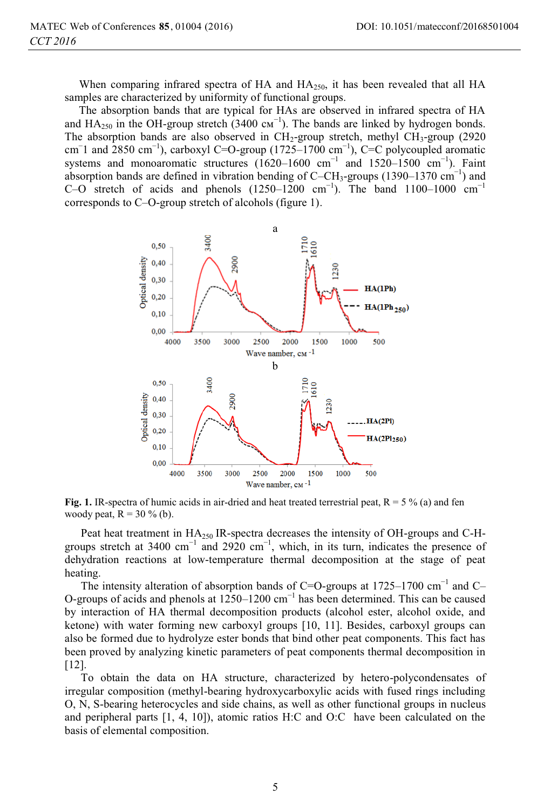When comparing infrared spectra of HA and  $HA_{250}$ , it has been revealed that all HA samples are characterized by uniformity of functional groups.

 The absorption bands that are typical for HAs are observed in infrared spectra of НА and  $HA_{250}$  in the OH-group stretch (3400  $cm^{-1}$ ). The bands are linked by hydrogen bonds. The absorption bands are also observed in  $CH_2$ -group stretch, methyl  $CH_3$ -group (2920) cm<sup>-</sup>1 and 2850 cm<sup>-1</sup>), carboxyl C=O-group (1725–1700 cm<sup>-1</sup>), C=C polycoupled aromatic systems and monoaromatic structures (1620–1600 cm<sup>-1</sup> and 1520–1500 cm<sup>-1</sup>). Faint absorption bands are defined in vibration bending of  $C$ – $CH_3$ -groups (1390–1370 cm<sup>-1</sup>) and C–O stretch of acids and phenols  $(1250-1200 \text{ cm}^{-1})$ . The band  $1100-1000 \text{ cm}^{-1}$ corresponds to С–О-group stretch of alcohols (figure 1).



**Fig. 1.** IR-spectra of humic acids in air-dried and heat treated terrestrial peat,  $R = 5\%$  (a) and fen woody peat,  $R = 30 \%$  (b).

Peat heat treatment in HA<sub>250</sub> IR-spectra decreases the intensity of OH-groups and C-Hgroups stretch at 3400 cm<sup>-1</sup> and 2920 cm<sup>-1</sup>, which, in its turn, indicates the presence of dehydration reactions at low-temperature thermal decomposition at the stage of peat heating.

The intensity alteration of absorption bands of C=O-groups at 1725–1700 cm<sup>-1</sup> and C– О-groups of acids and phenols at 1250–1200 cm−1 has been determined. This can be caused by interaction of HA thermal decomposition products (alcohol ester, alcohol oxide, and ketone) with water forming new carboxyl groups [10, 11]. Besides, carboxyl groups can also be formed due to hydrolyze ester bonds that bind other peat components. This fact has been proved by analyzing kinetic parameters of peat components thermal decomposition in [12].

To obtain the data on HA structure, characterized by hetero-polycondensates of irregular composition (methyl-bearing hydroxycarboxylic acids with fused rings including О, N, S-bearing heterocycles and side chains, as well as other functional groups in nucleus and peripheral parts [1, 4, 10]), atomic ratios Н:С and О:С have been calculated on the basis of elemental composition.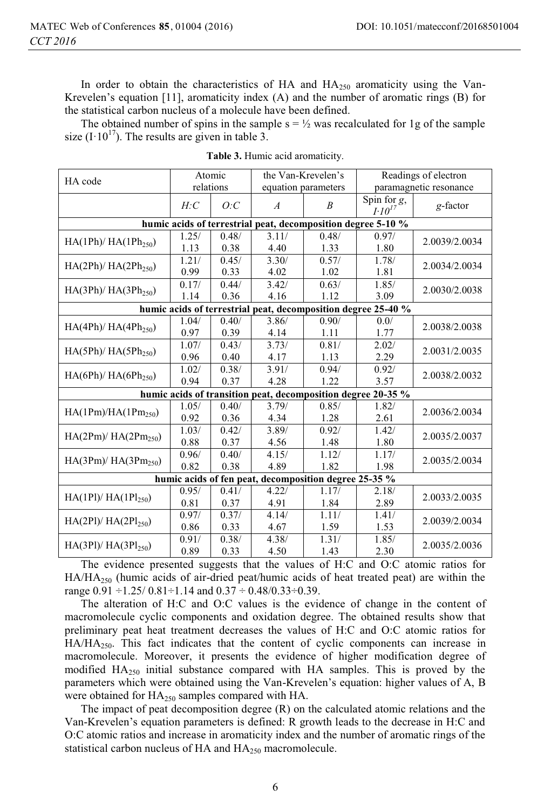In order to obtain the characteristics of HA and  $HA_{250}$  aromaticity using the Van-Krevelen's equation [11], aromaticity index (A) and the number of aromatic rings (B) for the statistical carbon nucleus of a molecule have been defined.

The obtained number of spins in the sample  $s = \frac{1}{2}$  was recalculated for 1g of the sample size  $(I \cdot 10^{17})$ . The results are given in table 3.

| HA code                                                      |           | Atomic |                | the Van-Krevelen's  | Readings of electron                                          |                        |  |  |  |  |
|--------------------------------------------------------------|-----------|--------|----------------|---------------------|---------------------------------------------------------------|------------------------|--|--|--|--|
|                                                              | relations |        |                | equation parameters |                                                               | paramagnetic resonance |  |  |  |  |
|                                                              | H:C       | O: C   | $\overline{A}$ | $\boldsymbol{B}$    | Spin for $g$ ,<br>$I \cdot I0^{I7}$                           | g-factor               |  |  |  |  |
| humic acids of terrestrial peat, decomposition degree 5-10 % |           |        |                |                     |                                                               |                        |  |  |  |  |
| $HA(1Ph)/HA(1Ph_{250})$                                      | 1.25/     | 0.48/  | 3.11/          | 0.48/               | 0.97/                                                         | 2.0039/2.0034          |  |  |  |  |
|                                                              | 1.13      | 0.38   | 4.40           | 1.33                | 1.80                                                          |                        |  |  |  |  |
| $HA(2Ph)/HA(2Ph_{250})$                                      | 1.21/     | 0.45/  | 3.30/          | 0.57/               | 1.78/                                                         | 2.0034/2.0034          |  |  |  |  |
|                                                              | 0.99      | 0.33   | 4.02           | 1.02                | 1.81                                                          |                        |  |  |  |  |
| $HA(3Ph)/HA(3Ph_{250})$                                      | 0.17/     | 0.44/  | 3.42/          | 0.63/               | 1.85/                                                         | 2.0030/2.0038          |  |  |  |  |
|                                                              | 1.14      | 0.36   | 4.16           | 1.12                | 3.09                                                          |                        |  |  |  |  |
|                                                              |           |        |                |                     | humic acids of terrestrial peat, decomposition degree 25-40 % |                        |  |  |  |  |
| $HA(4Ph)/HA(4Ph_{250})$                                      | 1.04/     | 0.40/  | 3.86/          | 0.90/               | 0.0/                                                          | 2.0038/2.0038          |  |  |  |  |
|                                                              | 0.97      | 0.39   | 4.14           | 1.11                | 1.77                                                          |                        |  |  |  |  |
| $HA(5Ph)/HA(5Ph_{250})$                                      | 1.07/     | 0.43/  | 3.73/          | 0.81/               | 2.02/                                                         | 2.0031/2.0035          |  |  |  |  |
|                                                              | 0.96      | 0.40   | 4.17           | 1.13                | 2.29                                                          |                        |  |  |  |  |
| $HA(6Ph)/HA(6Ph_{250})$                                      | 1.02/     | 0.38/  | 3.91/          | 0.94/               | 0.92/                                                         | 2.0038/2.0032          |  |  |  |  |
|                                                              | 0.94      | 0.37   | 4.28           | 1.22                | 3.57                                                          |                        |  |  |  |  |
|                                                              |           |        |                |                     | humic acids of transition peat, decomposition degree 20-35 %  |                        |  |  |  |  |
| HA(1Pm)/HA(1Pm <sub>250</sub> )                              | 1.05/     | 0.40/  | 3.79/          | 0.85/               | 1.82/                                                         | 2.0036/2.0034          |  |  |  |  |
|                                                              | 0.92      | 0.36   | 4.34           | 1.28                | 2.61                                                          |                        |  |  |  |  |
| $HA(2Pm)/HA(2Pm_{250})$                                      | 1.03/     | 0.42/  | 3.89/          | 0.92/               | 1.42/                                                         | 2.0035/2.0037          |  |  |  |  |
|                                                              | 0.88      | 0.37   | 4.56           | 1.48                | 1.80                                                          |                        |  |  |  |  |
| $HA(3Pm)/HA(3Pm_{250})$                                      | 0.96/     | 0.40/  | 4.15/          | 1.12/               | 1.17/                                                         | 2.0035/2.0034          |  |  |  |  |
|                                                              | 0.82      | 0.38   | 4.89           | 1.82                | 1.98                                                          |                        |  |  |  |  |
| humic acids of fen peat, decomposition degree 25-35 %        |           |        |                |                     |                                                               |                        |  |  |  |  |
| $HA(1P1)/HA(1P1_{250})$                                      | 0.95/     | 0.41/  | 4.22/          | 1.17/               | 2.18/                                                         | 2.0033/2.0035          |  |  |  |  |
|                                                              | 0.81      | 0.37   | 4.91           | 1.84                | 2.89                                                          |                        |  |  |  |  |
| $HA(2P1)/HA(2P1_{250})$                                      | 0.97/     | 0.37/  | 4.14/          | 1.11/               | 1.41/                                                         | 2.0039/2.0034          |  |  |  |  |
|                                                              | 0.86      | 0.33   | 4.67           | 1.59                | 1.53                                                          |                        |  |  |  |  |
|                                                              | 0.91/     | 0.38/  | 4.38/          | 1.31/               | 1.85/                                                         | 2.0035/2.0036          |  |  |  |  |
| $HA(3P1)/HA(3P1_{250})$                                      | 0.89      | 0.33   | 4.50           | 1.43                | 2.30                                                          |                        |  |  |  |  |

**Table 3.** Humic acid aromaticity.

The evidence presented suggests that the values of Н:С and О:С atomic ratios for  $HA/HA_{250}$  (humic acids of air-dried peat/humic acids of heat treated peat) are within the range  $0.91 \div 1.25/0.81 \div 1.14$  and  $0.37 \div 0.48/0.33 \div 0.39$ .

The alteration of Н:С and О:С values is the evidence of change in the content of macromolecule cyclic components and oxidation degree. The obtained results show that preliminary peat heat treatment decreases the values of Н:С and О:С atomic ratios for  $HA/HA<sub>250</sub>$ . This fact indicates that the content of cyclic components can increase in macromolecule. Moreover, it presents the evidence of higher modification degree of modified HA<sub>250</sub> initial substance compared with HA samples. This is proved by the parameters which were obtained using the Van-Krevelen's equation: higher values of А, В were obtained for  $HA_{250}$  samples compared with HA.

The impact of peat decomposition degree (R) on the calculated atomic relations and the Van-Krevelen's equation parameters is defined: R growth leads to the decrease in Н:С and О:С atomic ratios and increase in aromaticity index and the number of aromatic rings of the statistical carbon nucleus of HA and HA<sub>250</sub> macromolecule.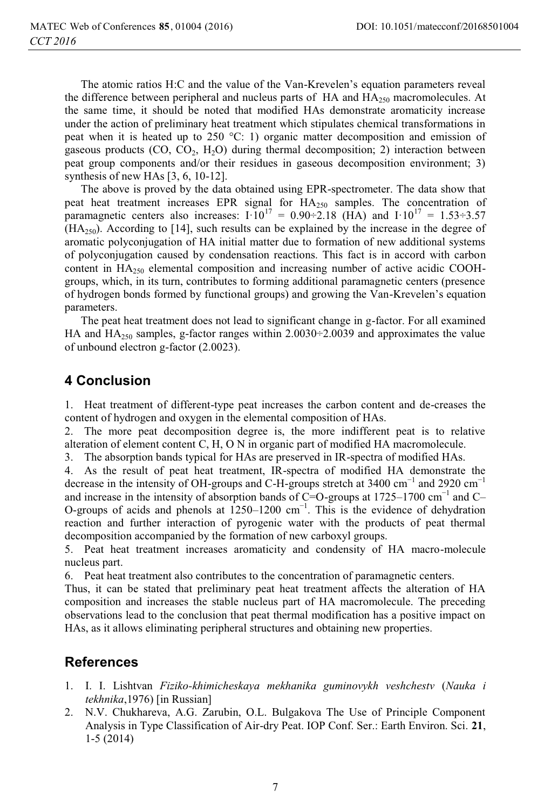The atomic ratios H:C and the value of the Van-Krevelen's equation parameters reveal the difference between peripheral and nucleus parts of  $HA$  and  $HA_{250}$  macromolecules. At the same time, it should be noted that modified HAs demonstrate aromaticity increase under the action of preliminary heat treatment which stipulates chemical transformations in peat when it is heated up to 250 °С: 1) organic matter decomposition and emission of gaseous products ( $CO$ ,  $CO_2$ ,  $H_2O$ ) during thermal decomposition; 2) interaction between peat group components and/or their residues in gaseous decomposition environment; 3) synthesis of new HAs [3, 6, 10-12].

The above is proved by the data obtained using EPR-spectrometer. The data show that peat heat treatment increases EPR signal for HA<sub>250</sub> samples. The concentration of paramagnetic centers also increases:  $I \cdot 10^{17} = 0.90 \div 2.18$  (HA) and  $I \cdot 10^{17} = 1.53 \div 3.57$  $(HA<sub>250</sub>)$ . According to [14], such results can be explained by the increase in the degree of aromatic polyconjugation of HA initial matter due to formation of new additional systems of polyconjugation caused by condensation reactions. This fact is in accord with carbon content in  $HA<sub>250</sub>$  elemental composition and increasing number of active acidic COOHgroups, which, in its turn, contributes to forming additional paramagnetic centers (presence of hydrogen bonds formed by functional groups) and growing the Van-Krevelen's equation parameters.

The peat heat treatment does not lead to significant change in g-factor. For all examined HA and  $HA_{250}$  samples, g-factor ranges within 2.0030÷2.0039 and approximates the value of unbound electron g-factor (2.0023).

## **4 Conclusion**

1. Heat treatment of different-type peat increases the carbon content and de-creases the content of hydrogen and oxygen in the elemental composition of HAs.

2. The more peat decomposition degree is, the more indifferent peat is to relative alteration of element content С, Н, О N in organic part of modified HA macromolecule.

3. The absorption bands typical for HAs are preserved in IR-spectra of modified HAs.

4. As the result of peat heat treatment, IR-spectra of modified HA demonstrate the decrease in the intensity of OH-groups and C-H-groups stretch at 3400 cm<sup>-1</sup> and 2920 cm<sup>-1</sup> and increase in the intensity of absorption bands of C=O-groups at  $1725-1700$  cm<sup>-1</sup> and C-O-groups of acids and phenols at  $1250-1200$  cm<sup>-1</sup>. This is the evidence of dehydration reaction and further interaction of pyrogenic water with the products of peat thermal decomposition accompanied by the formation of new carboxyl groups.

5. Peat heat treatment increases aromaticity and condensity of HA macro-molecule nucleus part.

6. Peat heat treatment also contributes to the concentration of paramagnetic centers.

Thus, it can be stated that preliminary peat heat treatment affects the alteration of HA composition and increases the stable nucleus part of HA macromolecule. The preceding observations lead to the conclusion that peat thermal modification has a positive impact on HAs, as it allows eliminating peripheral structures and obtaining new properties.

### **References**

- 1. I. I. Lishtvan *Fiziko-khimicheskaya mekhanika guminovykh veshchestv* (*Nauka i tekhnika*,1976) [in Russian]
- 2. N.V. Chukhareva, A.G. Zarubin, O.L. Bulgakova The Use of Principle Component Analysis in Type Classification of Air-dry Peat. IOP Conf. Ser.: Earth Environ. Sci. **21**, 1-5 (2014)